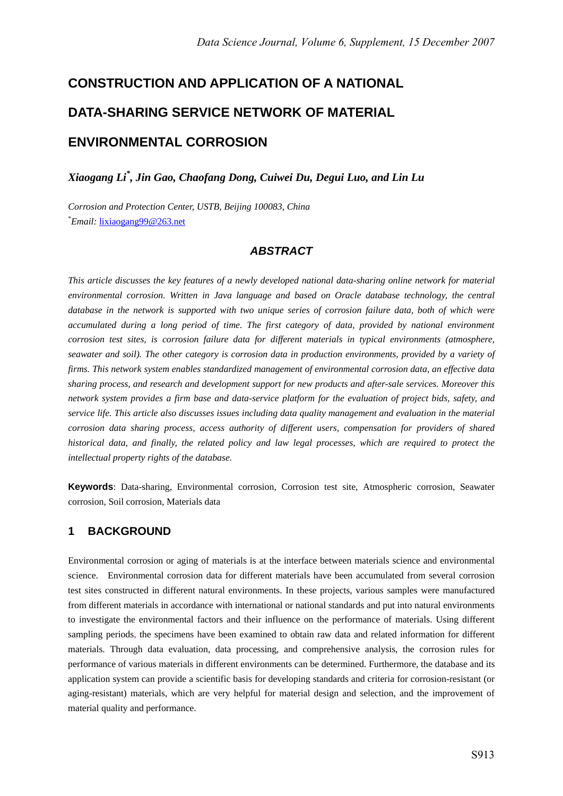# **CONSTRUCTION AND APPLICATION OF A NATIONAL DATA-SHARING SERVICE NETWORK OF MATERIAL ENVIRONMENTAL CORROSION**

*Xiaogang Li\* , Jin Gao, Chaofang Dong, Cuiwei Du, Degui Luo, and Lin Lu* 

*Corrosion and Protection Center, USTB, Beijing 100083, China*  \* *Email:* lixiaogang99@263.net

## *ABSTRACT*

*This article discusses the key features of a newly developed national data-sharing online network for material environmental corrosion. Written in Java language and based on Oracle database technology, the central database in the network is supported with two unique series of corrosion failure data, both of which were accumulated during a long period of time. The first category of data, provided by national environment corrosion test sites, is corrosion failure data for different materials in typical environments (atmosphere, seawater and soil). The other category is corrosion data in production environments, provided by a variety of firms. This network system enables standardized management of environmental corrosion data, an effective data sharing process, and research and development support for new products and after-sale services. Moreover this network system provides a firm base and data-service platform for the evaluation of project bids, safety, and service life. This article also discusses issues including data quality management and evaluation in the material corrosion data sharing process, access authority of different users, compensation for providers of shared historical data, and finally, the related policy and law legal processes, which are required to protect the intellectual property rights of the database.* 

**Keywords**: Data-sharing, Environmental corrosion, Corrosion test site, Atmospheric corrosion, Seawater corrosion, Soil corrosion, Materials data

## **1 BACKGROUND**

Environmental corrosion or aging of materials is at the interface between materials science and environmental science. Environmental corrosion data for different materials have been accumulated from several corrosion test sites constructed in different natural environments. In these projects, various samples were manufactured from different materials in accordance with international or national standards and put into natural environments to investigate the environmental factors and their influence on the performance of materials. Using different sampling periods, the specimens have been examined to obtain raw data and related information for different materials. Through data evaluation, data processing, and comprehensive analysis, the corrosion rules for performance of various materials in different environments can be determined. Furthermore, the database and its application system can provide a scientific basis for developing standards and criteria for corrosion-resistant (or aging-resistant) materials, which are very helpful for material design and selection, and the improvement of material quality and performance.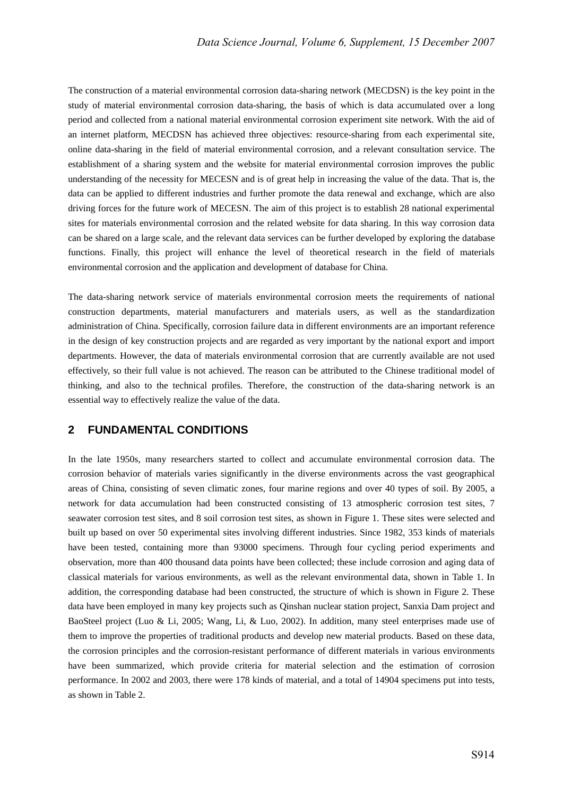The construction of a material environmental corrosion data-sharing network (MECDSN) is the key point in the study of material environmental corrosion data-sharing, the basis of which is data accumulated over a long period and collected from a national material environmental corrosion experiment site network. With the aid of an internet platform, MECDSN has achieved three objectives: resource-sharing from each experimental site, online data-sharing in the field of material environmental corrosion, and a relevant consultation service. The establishment of a sharing system and the website for material environmental corrosion improves the public understanding of the necessity for MECESN and is of great help in increasing the value of the data. That is, the data can be applied to different industries and further promote the data renewal and exchange, which are also driving forces for the future work of MECESN. The aim of this project is to establish 28 national experimental sites for materials environmental corrosion and the related website for data sharing. In this way corrosion data can be shared on a large scale, and the relevant data services can be further developed by exploring the database functions. Finally, this project will enhance the level of theoretical research in the field of materials environmental corrosion and the application and development of database for China.

The data-sharing network service of materials environmental corrosion meets the requirements of national construction departments, material manufacturers and materials users, as well as the standardization administration of China. Specifically, corrosion failure data in different environments are an important reference in the design of key construction projects and are regarded as very important by the national export and import departments. However, the data of materials environmental corrosion that are currently available are not used effectively, so their full value is not achieved. The reason can be attributed to the Chinese traditional model of thinking, and also to the technical profiles. Therefore, the construction of the data-sharing network is an essential way to effectively realize the value of the data.

## **2 FUNDAMENTAL CONDITIONS**

In the late 1950s, many researchers started to collect and accumulate environmental corrosion data. The corrosion behavior of materials varies significantly in the diverse environments across the vast geographical areas of China, consisting of seven climatic zones, four marine regions and over 40 types of soil. By 2005, a network for data accumulation had been constructed consisting of 13 atmospheric corrosion test sites, 7 seawater corrosion test sites, and 8 soil corrosion test sites, as shown in Figure 1. These sites were selected and built up based on over 50 experimental sites involving different industries. Since 1982, 353 kinds of materials have been tested, containing more than 93000 specimens. Through four cycling period experiments and observation, more than 400 thousand data points have been collected; these include corrosion and aging data of classical materials for various environments, as well as the relevant environmental data, shown in Table 1. In addition, the corresponding database had been constructed, the structure of which is shown in Figure 2. These data have been employed in many key projects such as Qinshan nuclear station project, Sanxia Dam project and BaoSteel project (Luo & Li, 2005; Wang, Li, & Luo, 2002). In addition, many steel enterprises made use of them to improve the properties of traditional products and develop new material products. Based on these data, the corrosion principles and the corrosion-resistant performance of different materials in various environments have been summarized, which provide criteria for material selection and the estimation of corrosion performance. In 2002 and 2003, there were 178 kinds of material, and a total of 14904 specimens put into tests, as shown in Table 2.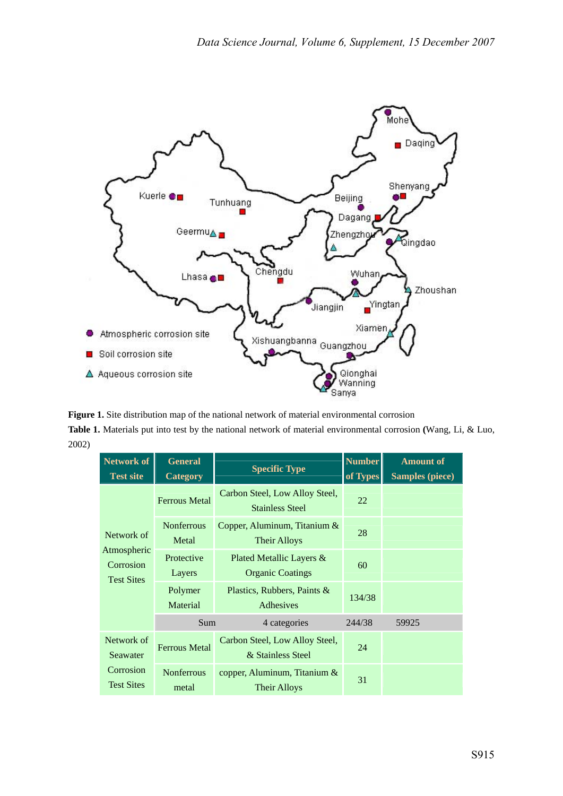

**Figure 1.** Site distribution map of the national network of material environmental corrosion **Table 1.** Materials put into test by the national network of material environmental corrosion **(**Wang, Li, & Luo, 2002)

| <b>Network of</b><br><b>Test site</b>         | <b>General</b><br><b>Category</b> | <b>Specific Type</b>                                     | <b>Number</b><br>of Types | <b>Amount of</b><br><b>Samples (piece)</b> |
|-----------------------------------------------|-----------------------------------|----------------------------------------------------------|---------------------------|--------------------------------------------|
|                                               | <b>Ferrous Metal</b>              | Carbon Steel, Low Alloy Steel,<br><b>Stainless Steel</b> | 22                        |                                            |
| Network of                                    | <b>Nonferrous</b><br>Metal        | Copper, Aluminum, Titanium $\&$<br><b>Their Alloys</b>   | 28                        |                                            |
| Atmospheric<br>Corrosion<br><b>Test Sites</b> | Protective<br>Layers              | Plated Metallic Layers &<br><b>Organic Coatings</b>      | 60                        |                                            |
|                                               | Polymer<br>Material               | Plastics, Rubbers, Paints &<br>Adhesives                 | 134/38                    |                                            |
|                                               | Sum                               | 4 categories                                             | 244/38                    | 59925                                      |
| Network of<br>Seawater                        | <b>Ferrous Metal</b>              | Carbon Steel, Low Alloy Steel,<br>& Stainless Steel      | 24                        |                                            |
| Corrosion<br><b>Test Sites</b>                | <b>Nonferrous</b><br>metal        | copper, Aluminum, Titanium $\&$<br><b>Their Alloys</b>   | 31                        |                                            |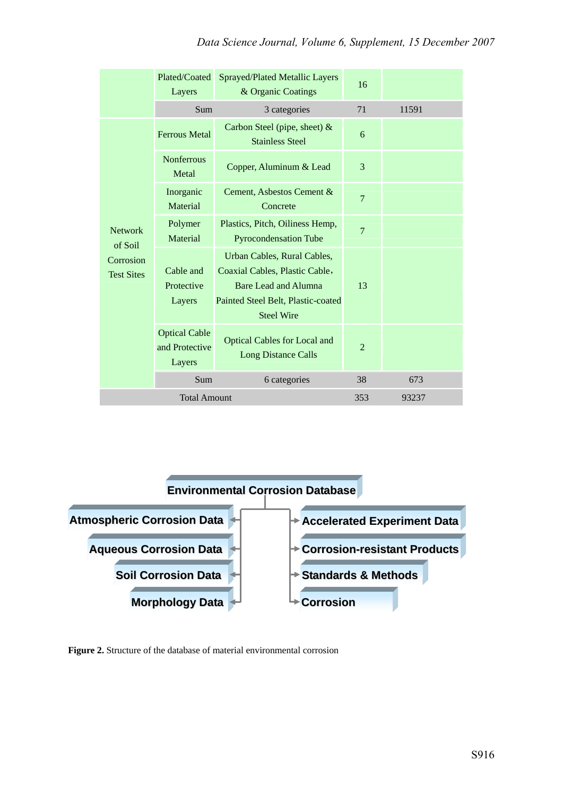|                                | Plated/Coated<br>Layers                          | <b>Sprayed/Plated Metallic Layers</b><br>& Organic Coatings                                                                                             | 16             |       |
|--------------------------------|--------------------------------------------------|---------------------------------------------------------------------------------------------------------------------------------------------------------|----------------|-------|
|                                | Sum                                              | 3 categories                                                                                                                                            | 71             | 11591 |
|                                | <b>Ferrous Metal</b>                             | Carbon Steel (pipe, sheet) $&$<br><b>Stainless Steel</b>                                                                                                | 6              |       |
|                                | <b>Nonferrous</b><br>Metal                       | Copper, Aluminum & Lead                                                                                                                                 | 3              |       |
|                                | Inorganic<br>Material                            | Cement, Asbestos Cement &<br>Concrete                                                                                                                   | 7              |       |
| <b>Network</b><br>of Soil      | Polymer<br>Material                              | Plastics, Pitch, Oiliness Hemp,<br><b>Pyrocondensation Tube</b>                                                                                         | $\overline{7}$ |       |
| Corrosion<br><b>Test Sites</b> | Cable and<br>Protective<br>Layers                | Urban Cables, Rural Cables,<br>Coaxial Cables, Plastic Cable,<br><b>Bare Lead and Alumna</b><br>Painted Steel Belt, Plastic-coated<br><b>Steel Wire</b> | 13             |       |
|                                | <b>Optical Cable</b><br>and Protective<br>Layers | <b>Optical Cables for Local and</b><br><b>Long Distance Calls</b>                                                                                       | $\overline{2}$ |       |
|                                | Sum                                              | 6 categories                                                                                                                                            | 38             | 673   |
|                                | <b>Total Amount</b>                              |                                                                                                                                                         | 353            | 93237 |



**Figure 2.** Structure of the database of material environmental corrosion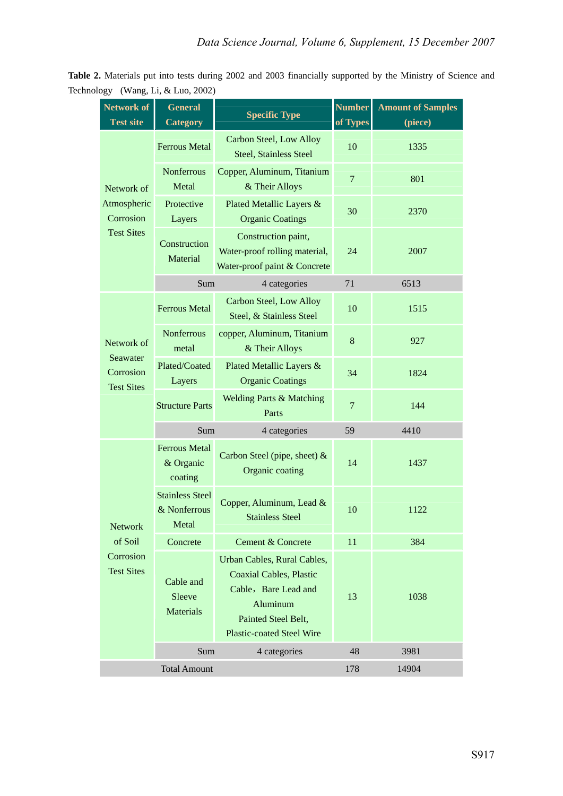**Table 2.** Materials put into tests during 2002 and 2003 financially supported by the Ministry of Science and Technology (Wang, Li, & Luo, 2002)

| <b>Network of</b><br><b>Test site</b>      | General<br><b>Category</b>                      | <b>Specific Type</b>                                                                                                                                         | <b>Number</b><br>of Types | <b>Amount of Samples</b><br>(piece) |
|--------------------------------------------|-------------------------------------------------|--------------------------------------------------------------------------------------------------------------------------------------------------------------|---------------------------|-------------------------------------|
|                                            | <b>Ferrous Metal</b>                            | <b>Carbon Steel, Low Alloy</b><br><b>Steel, Stainless Steel</b>                                                                                              | 10                        | 1335                                |
| Network of                                 | <b>Nonferrous</b><br>Metal                      | Copper, Aluminum, Titanium<br>& Their Alloys                                                                                                                 | $\overline{7}$            | 801                                 |
| Atmospheric<br>Corrosion                   | Protective<br>Layers                            | Plated Metallic Layers &<br><b>Organic Coatings</b>                                                                                                          | 30                        | 2370                                |
| <b>Test Sites</b>                          | Construction<br>Material                        | Construction paint,<br>Water-proof rolling material,<br>Water-proof paint & Concrete                                                                         | 24                        | 2007                                |
|                                            | Sum                                             | 4 categories                                                                                                                                                 | 71                        | 6513                                |
|                                            | <b>Ferrous Metal</b>                            | Carbon Steel, Low Alloy<br>Steel, & Stainless Steel                                                                                                          | 10                        | 1515                                |
| Network of                                 | <b>Nonferrous</b><br>metal                      | copper, Aluminum, Titanium<br>& Their Alloys                                                                                                                 | 8                         | 927                                 |
| Seawater<br>Corrosion<br><b>Test Sites</b> | Plated/Coated<br>Layers                         | Plated Metallic Layers &<br><b>Organic Coatings</b>                                                                                                          | 34                        | 1824                                |
|                                            | <b>Structure Parts</b>                          | <b>Welding Parts &amp; Matching</b><br>Parts                                                                                                                 | $\overline{7}$            | 144                                 |
|                                            | Sum                                             | 4 categories                                                                                                                                                 | 59                        | 4410                                |
|                                            | <b>Ferrous Metal</b><br>& Organic<br>coating    | Carbon Steel (pipe, sheet) &<br>Organic coating                                                                                                              | 14                        | 1437                                |
| <b>Network</b>                             | <b>Stainless Steel</b><br>& Nonferrous<br>Metal | Copper, Aluminum, Lead &<br><b>Stainless Steel</b>                                                                                                           | 10                        | 1122                                |
| of Soil                                    | Concrete                                        | Cement & Concrete                                                                                                                                            | 11                        | 384                                 |
| Corrosion<br><b>Test Sites</b>             | Cable and<br>Sleeve<br>Materials                | Urban Cables, Rural Cables,<br><b>Coaxial Cables, Plastic</b><br>Cable, Bare Lead and<br>Aluminum<br>Painted Steel Belt,<br><b>Plastic-coated Steel Wire</b> | 13                        | 1038                                |
|                                            | Sum                                             | 4 categories                                                                                                                                                 | 48                        | 3981                                |
|                                            | <b>Total Amount</b>                             |                                                                                                                                                              | 178                       | 14904                               |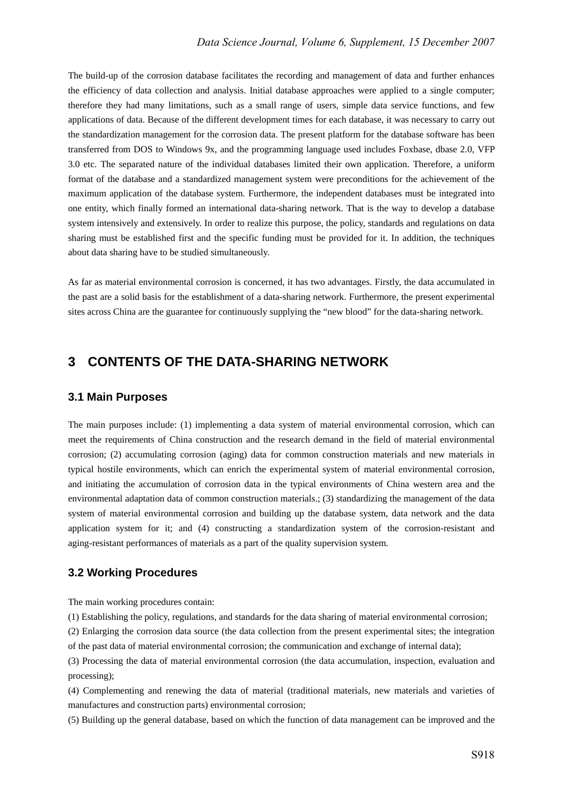The build-up of the corrosion database facilitates the recording and management of data and further enhances the efficiency of data collection and analysis. Initial database approaches were applied to a single computer; therefore they had many limitations, such as a small range of users, simple data service functions, and few applications of data. Because of the different development times for each database, it was necessary to carry out the standardization management for the corrosion data. The present platform for the database software has been transferred from DOS to Windows 9x, and the programming language used includes Foxbase, dbase 2.0, VFP 3.0 etc. The separated nature of the individual databases limited their own application. Therefore, a uniform format of the database and a standardized management system were preconditions for the achievement of the maximum application of the database system. Furthermore, the independent databases must be integrated into one entity, which finally formed an international data-sharing network. That is the way to develop a database system intensively and extensively. In order to realize this purpose, the policy, standards and regulations on data sharing must be established first and the specific funding must be provided for it. In addition, the techniques about data sharing have to be studied simultaneously.

As far as material environmental corrosion is concerned, it has two advantages. Firstly, the data accumulated in the past are a solid basis for the establishment of a data-sharing network. Furthermore, the present experimental sites across China are the guarantee for continuously supplying the "new blood" for the data-sharing network.

# **3 CONTENTS OF THE DATA-SHARING NETWORK**

#### **3.1 Main Purposes**

The main purposes include: (1) implementing a data system of material environmental corrosion, which can meet the requirements of China construction and the research demand in the field of material environmental corrosion; (2) accumulating corrosion (aging) data for common construction materials and new materials in typical hostile environments, which can enrich the experimental system of material environmental corrosion, and initiating the accumulation of corrosion data in the typical environments of China western area and the environmental adaptation data of common construction materials.; (3) standardizing the management of the data system of material environmental corrosion and building up the database system, data network and the data application system for it; and (4) constructing a standardization system of the corrosion-resistant and aging-resistant performances of materials as a part of the quality supervision system.

#### **3.2 Working Procedures**

The main working procedures contain:

(1) Establishing the policy, regulations, and standards for the data sharing of material environmental corrosion;

(2) Enlarging the corrosion data source (the data collection from the present experimental sites; the integration of the past data of material environmental corrosion; the communication and exchange of internal data);

(3) Processing the data of material environmental corrosion (the data accumulation, inspection, evaluation and processing);

(4) Complementing and renewing the data of material (traditional materials, new materials and varieties of manufactures and construction parts) environmental corrosion;

(5) Building up the general database, based on which the function of data management can be improved and the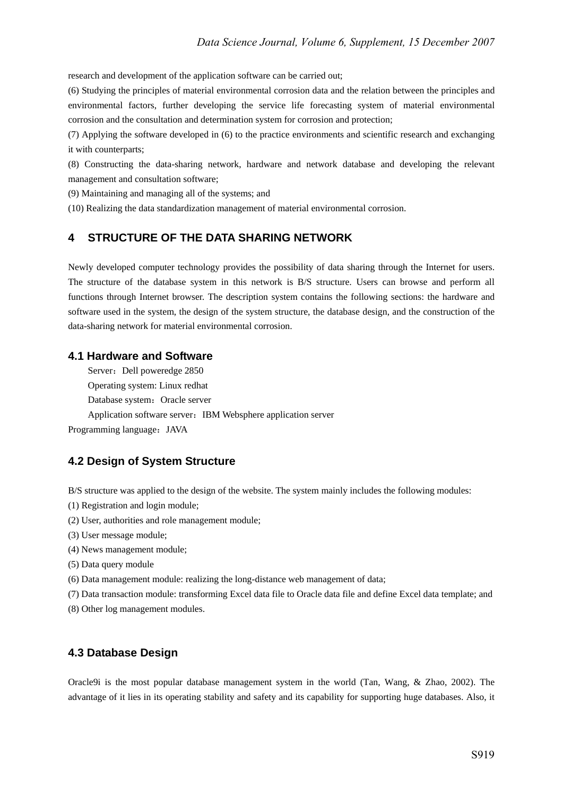research and development of the application software can be carried out;

(6) Studying the principles of material environmental corrosion data and the relation between the principles and environmental factors, further developing the service life forecasting system of material environmental corrosion and the consultation and determination system for corrosion and protection;

(7) Applying the software developed in (6) to the practice environments and scientific research and exchanging it with counterparts;

(8) Constructing the data-sharing network, hardware and network database and developing the relevant management and consultation software;

(9) Maintaining and managing all of the systems; and

(10) Realizing the data standardization management of material environmental corrosion.

#### **4 STRUCTURE OF THE DATA SHARING NETWORK**

Newly developed computer technology provides the possibility of data sharing through the Internet for users. The structure of the database system in this network is B/S structure. Users can browse and perform all functions through Internet browser. The description system contains the following sections: the hardware and software used in the system, the design of the system structure, the database design, and the construction of the data-sharing network for material environmental corrosion.

#### **4.1 Hardware and Software**

Server: Dell poweredge 2850 Operating system: Linux redhat Database system: Oracle server Application software server: IBM Websphere application server Programming language:JAVA

#### **4.2 Design of System Structure**

B/S structure was applied to the design of the website. The system mainly includes the following modules:

- (1) Registration and login module;
- (2) User, authorities and role management module;
- (3) User message module;
- (4) News management module;
- (5) Data query module
- (6) Data management module: realizing the long-distance web management of data;
- (7) Data transaction module: transforming Excel data file to Oracle data file and define Excel data template; and
- (8) Other log management modules.

#### **4.3 Database Design**

Oracle9i is the most popular database management system in the world (Tan, Wang, & Zhao, 2002). The advantage of it lies in its operating stability and safety and its capability for supporting huge databases. Also, it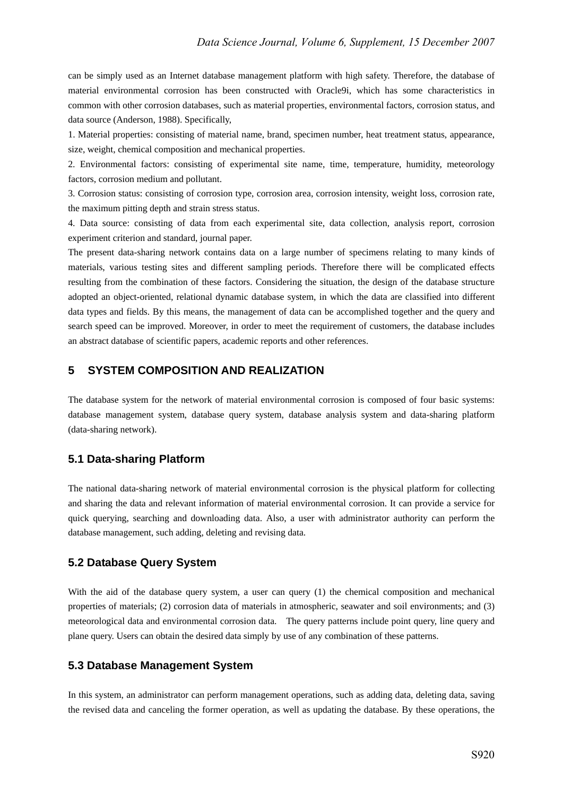can be simply used as an Internet database management platform with high safety. Therefore, the database of material environmental corrosion has been constructed with Oracle9i, which has some characteristics in common with other corrosion databases, such as material properties, environmental factors, corrosion status, and data source (Anderson, 1988). Specifically,

1. Material properties: consisting of material name, brand, specimen number, heat treatment status, appearance, size, weight, chemical composition and mechanical properties.

2. Environmental factors: consisting of experimental site name, time, temperature, humidity, meteorology factors, corrosion medium and pollutant.

3. Corrosion status: consisting of corrosion type, corrosion area, corrosion intensity, weight loss, corrosion rate, the maximum pitting depth and strain stress status.

4. Data source: consisting of data from each experimental site, data collection, analysis report, corrosion experiment criterion and standard, journal paper.

The present data-sharing network contains data on a large number of specimens relating to many kinds of materials, various testing sites and different sampling periods. Therefore there will be complicated effects resulting from the combination of these factors. Considering the situation, the design of the database structure adopted an object-oriented, relational dynamic database system, in which the data are classified into different data types and fields. By this means, the management of data can be accomplished together and the query and search speed can be improved. Moreover, in order to meet the requirement of customers, the database includes an abstract database of scientific papers, academic reports and other references.

## **5 SYSTEM COMPOSITION AND REALIZATION**

The database system for the network of material environmental corrosion is composed of four basic systems: database management system, database query system, database analysis system and data-sharing platform (data-sharing network).

#### **5.1 Data-sharing Platform**

The national data-sharing network of material environmental corrosion is the physical platform for collecting and sharing the data and relevant information of material environmental corrosion. It can provide a service for quick querying, searching and downloading data. Also, a user with administrator authority can perform the database management, such adding, deleting and revising data.

#### **5.2 Database Query System**

With the aid of the database query system, a user can query (1) the chemical composition and mechanical properties of materials; (2) corrosion data of materials in atmospheric, seawater and soil environments; and (3) meteorological data and environmental corrosion data. The query patterns include point query, line query and plane query. Users can obtain the desired data simply by use of any combination of these patterns.

#### **5.3 Database Management System**

In this system, an administrator can perform management operations, such as adding data, deleting data, saving the revised data and canceling the former operation, as well as updating the database. By these operations, the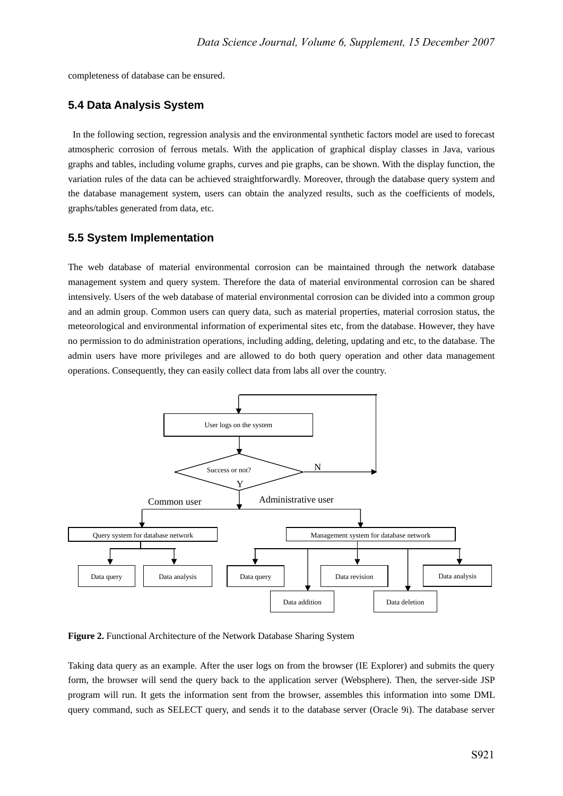completeness of database can be ensured.

#### **5.4 Data Analysis System**

 In the following section, regression analysis and the environmental synthetic factors model are used to forecast atmospheric corrosion of ferrous metals. With the application of graphical display classes in Java, various graphs and tables, including volume graphs, curves and pie graphs, can be shown. With the display function, the variation rules of the data can be achieved straightforwardly. Moreover, through the database query system and the database management system, users can obtain the analyzed results, such as the coefficients of models, graphs/tables generated from data, etc.

#### **5.5 System Implementation**

The web database of material environmental corrosion can be maintained through the network database management system and query system. Therefore the data of material environmental corrosion can be shared intensively. Users of the web database of material environmental corrosion can be divided into a common group and an admin group. Common users can query data, such as material properties, material corrosion status, the meteorological and environmental information of experimental sites etc, from the database. However, they have no permission to do administration operations, including adding, deleting, updating and etc, to the database. The admin users have more privileges and are allowed to do both query operation and other data management operations. Consequently, they can easily collect data from labs all over the country.



**Figure 2.** Functional Architecture of the Network Database Sharing System

Taking data query as an example. After the user logs on from the browser (IE Explorer) and submits the query form, the browser will send the query back to the application server (Websphere). Then, the server-side JSP program will run. It gets the information sent from the browser, assembles this information into some DML query command, such as SELECT query, and sends it to the database server (Oracle 9i). The database server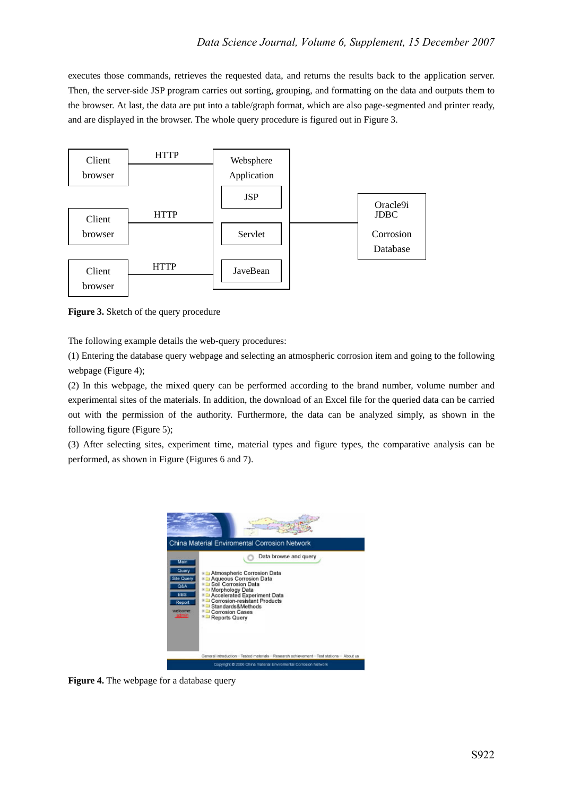executes those commands, retrieves the requested data, and returns the results back to the application server. Then, the server-side JSP program carries out sorting, grouping, and formatting on the data and outputs them to the browser. At last, the data are put into a table/graph format, which are also page-segmented and printer ready, and are displayed in the browser. The whole query procedure is figured out in Figure 3.



**Figure 3.** Sketch of the query procedure

The following example details the web-query procedures:

(1) Entering the database query webpage and selecting an atmospheric corrosion item and going to the following webpage (Figure 4);

(2) In this webpage, the mixed query can be performed according to the brand number, volume number and experimental sites of the materials. In addition, the download of an Excel file for the queried data can be carried out with the permission of the authority. Furthermore, the data can be analyzed simply, as shown in the following figure (Figure 5);

(3) After selecting sites, experiment time, material types and figure types, the comparative analysis can be performed, as shown in Figure (Figures 6 and 7).



**Figure 4.** The webpage for a database query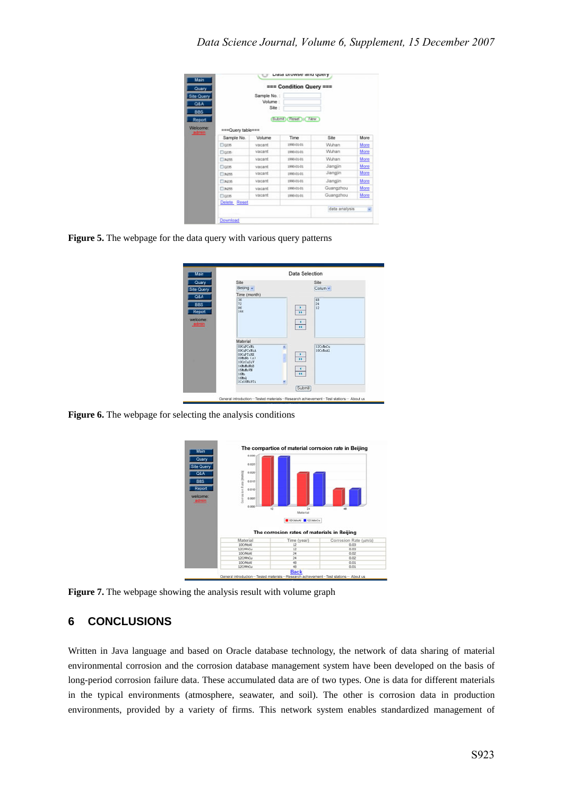| === Condition Query === |                                   |               |           |      |
|-------------------------|-----------------------------------|---------------|-----------|------|
|                         | Sample No.:<br>Volume :<br>Site : |               |           |      |
| *** Query table ***     | Submit)                           | Reset III New |           |      |
| Sample No.              | Volume                            | Time          | Site      | More |
| <b>Dozis</b>            | vacant                            | 1990-01-01    | Wuhan     | More |
| El gate-                | vacant                            | 1990-01-01    | Wuhan     | More |
| <b>CLINCHER</b>         | vacant                            | 1990-01-01    | Wuhan     | More |
|                         |                                   | 1990-01-01    | Jiangjin  | More |
| <b>Doze</b>             | vacant                            |               |           |      |
| ET NORR                 | vacant                            | 1990-01-01    | Jiangjin  | More |
| Пэрэ                    | vacant                            | 1990-01-01    | Jiangjin  | More |
| Плов                    | vacant                            | 1990-01-01    | Guangzhou | More |
| <b>Clozes</b>           | vacant                            | 1990-01-01    | Guangzhou | More |
| Delete Reset            |                                   |               |           |      |

**Figure 5.** The webpage for the data query with various query patterns

|                                                                                                                   |                                       | Data Selection               |
|-------------------------------------------------------------------------------------------------------------------|---------------------------------------|------------------------------|
| Site<br>Beijing v                                                                                                 |                                       | Site<br>Colum ~              |
| Time (month)<br>蒾<br>$\overline{12}$<br>9d<br>144                                                                 | $\rightarrow$<br>$\frac{1}{\alpha}$   | <b>CB</b><br>$\frac{24}{12}$ |
| Material<br><b>DROMPCYN1</b>                                                                                      |                                       |                              |
| <b>DSCuPCrNiA</b><br>09CuPTiRR<br>090000 (x)<br>10CrCuSiV<br>14M-M-N-B<br>15MoMoVN<br>16Mn<br>168nQ<br>1Cr18Ni9Ti | ń<br>$\frac{1}{10}$<br>$\frac{1}{16}$ | 12CrMnCu<br>10CrMoA1         |
|                                                                                                                   |                                       | Submit                       |

Figure 6. The webpage for selecting the analysis conditions



**Figure 7.** The webpage showing the analysis result with volume graph

## **6 CONCLUSIONS**

Written in Java language and based on Oracle database technology, the network of data sharing of material environmental corrosion and the corrosion database management system have been developed on the basis of long-period corrosion failure data. These accumulated data are of two types. One is data for different materials in the typical environments (atmosphere, seawater, and soil). The other is corrosion data in production environments, provided by a variety of firms. This network system enables standardized management of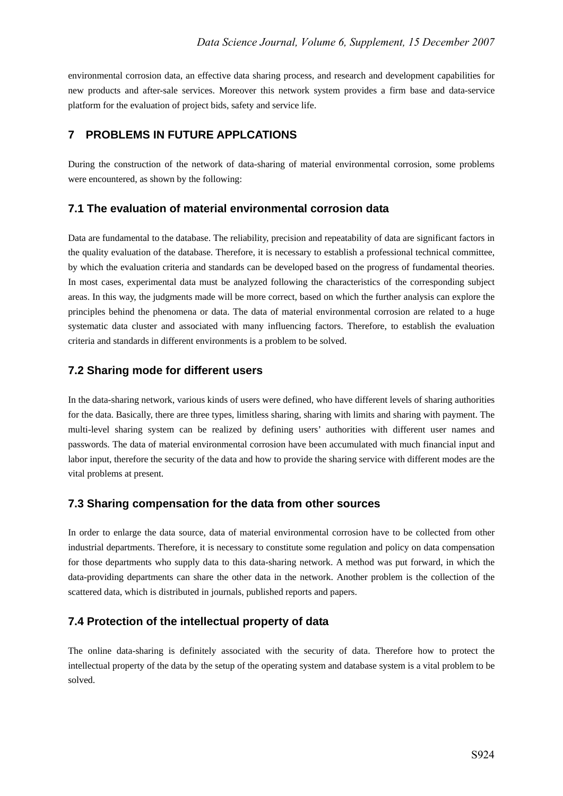environmental corrosion data, an effective data sharing process, and research and development capabilities for new products and after-sale services. Moreover this network system provides a firm base and data-service platform for the evaluation of project bids, safety and service life.

## **7 PROBLEMS IN FUTURE APPLCATIONS**

During the construction of the network of data-sharing of material environmental corrosion, some problems were encountered, as shown by the following:

## **7.1 The evaluation of material environmental corrosion data**

Data are fundamental to the database. The reliability, precision and repeatability of data are significant factors in the quality evaluation of the database. Therefore, it is necessary to establish a professional technical committee, by which the evaluation criteria and standards can be developed based on the progress of fundamental theories. In most cases, experimental data must be analyzed following the characteristics of the corresponding subject areas. In this way, the judgments made will be more correct, based on which the further analysis can explore the principles behind the phenomena or data. The data of material environmental corrosion are related to a huge systematic data cluster and associated with many influencing factors. Therefore, to establish the evaluation criteria and standards in different environments is a problem to be solved.

## **7.2 Sharing mode for different users**

In the data-sharing network, various kinds of users were defined, who have different levels of sharing authorities for the data. Basically, there are three types, limitless sharing, sharing with limits and sharing with payment. The multi-level sharing system can be realized by defining users' authorities with different user names and passwords. The data of material environmental corrosion have been accumulated with much financial input and labor input, therefore the security of the data and how to provide the sharing service with different modes are the vital problems at present.

## **7.3 Sharing compensation for the data from other sources**

In order to enlarge the data source, data of material environmental corrosion have to be collected from other industrial departments. Therefore, it is necessary to constitute some regulation and policy on data compensation for those departments who supply data to this data-sharing network. A method was put forward, in which the data-providing departments can share the other data in the network. Another problem is the collection of the scattered data, which is distributed in journals, published reports and papers.

## **7.4 Protection of the intellectual property of data**

The online data-sharing is definitely associated with the security of data. Therefore how to protect the intellectual property of the data by the setup of the operating system and database system is a vital problem to be solved.